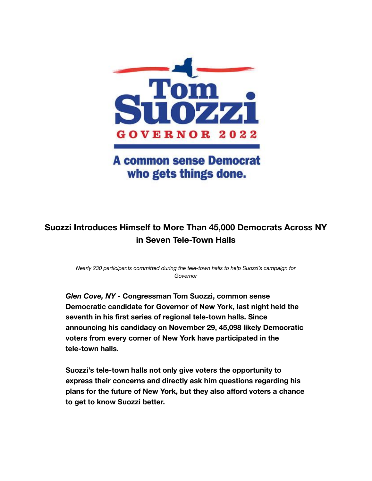

## **A common sense Democrat** who gets things done.

## **Suozzi Introduces Himself to More Than 45,000 Democrats Across NY in Seven Tele-Town Halls**

*Nearly 230 participants committed during the tele-town halls to help Suozzi's campaign for Governor*

*Glen Cove, NY* **- Congressman Tom Suozzi, common sense Democratic candidate for Governor of New York, last night held the seventh in his first series of regional tele-town halls. Since announcing his candidacy on November 29, 45,098 likely Democratic voters from every corner of New York have participated in the tele-town halls.**

**Suozzi's tele-town halls not only give voters the opportunity to express their concerns and directly ask him questions regarding his plans for the future of New York, but they also afford voters a chance to get to know Suozzi better.**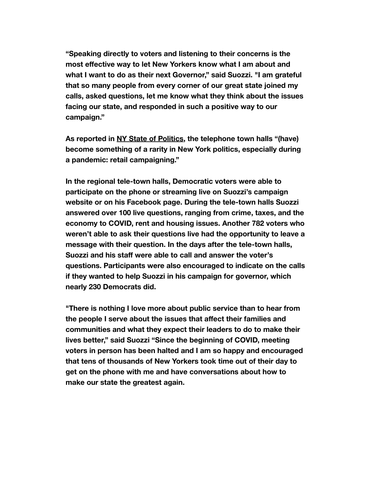**"Speaking directly to voters and listening to their concerns is the most effective way to let New Yorkers know what I am about and what I want to do as their next Governor," said Suozzi. "I am grateful that so many people from every corner of our great state joined my calls, asked questions, let me know what they think about the issues facing our state, and responded in such a positive way to our campaign."**

**As reported in [NY State of Politics](https://spectrumlocalnews.com/nys/central-ny/ny-state-of-politics/2022/01/28/rep--tom-suozzi-seeks-traction-with-tele-townhalls-), the telephone town halls "(have) become something of a rarity in New York politics, especially during a pandemic: retail campaigning."**

**In the regional tele-town halls, Democratic voters were able to participate on the phone or streaming live on Suozzi's campaign website or on his Facebook page. During the tele-town halls Suozzi answered over 100 live questions, ranging from crime, taxes, and the economy to COVID, rent and housing issues. Another 782 voters who weren't able to ask their questions live had the opportunity to leave a message with their question. In the days after the tele-town halls, Suozzi and his staff were able to call and answer the voter's questions. Participants were also encouraged to indicate on the calls if they wanted to help Suozzi in his campaign for governor, which nearly 230 Democrats did.**

**"There is nothing I love more about public service than to hear from the people I serve about the issues that affect their families and communities and what they expect their leaders to do to make their lives better," said Suozzi "Since the beginning of COVID, meeting voters in person has been halted and I am so happy and encouraged that tens of thousands of New Yorkers took time out of their day to get on the phone with me and have conversations about how to make our state the greatest again.**